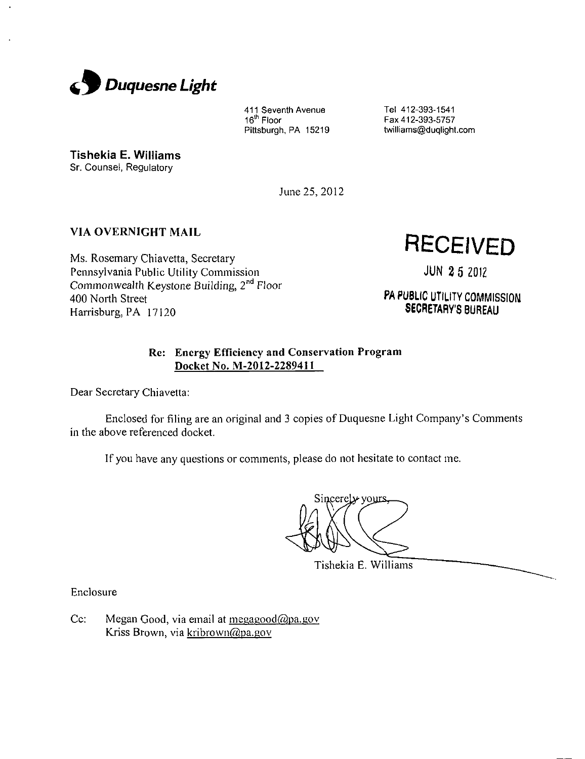

411 Seventh Avenue 16<sup>in</sup> Floor Pittsburgh, PA 15219 Tel 412-393-1541 Fax 412-393-5757 twilliams@duqlight.com

Tishekia E. Williams

Sr. Counsel, Regulatory

June 25,2012

# **VIA OVERNIGHT MAIL**

Ms. Rosemary Chiavetta, Secretary Pennsylvania Public Utility Commission Commonwealth Keystone Building, 2<sup>nd</sup> Floor 400 North Street Harrisburg, PA 17120

**RECEIVED** 

JUN 2 5 2012

PA PUBLIC UTILITY COMMISSION SECRETARY'S BUREAU

# **Re: Energy Efficiency and Conservation Program Docket No. M-2012-2289411**

Dear Secretary Chiavetta:

Enclosed for filing are an original and 3 copies of Duquesne Light Company's Comments in the above referenced docket.

If you have any questions or comments, please do not hesitate to contact me.

Sincerely yours

Tishekia E. Williams

Enclosure

Cc: Megan Good, via email at megagood@pa.gov Kriss Brown, via kribrown@pa.gov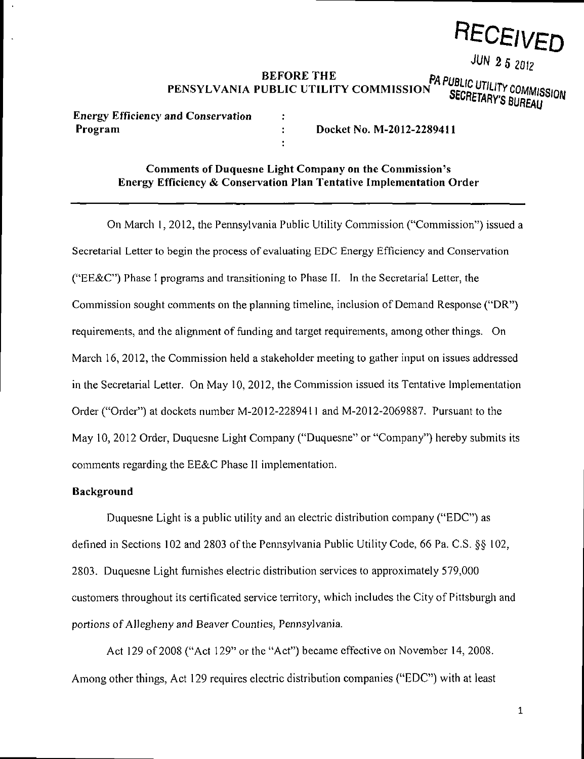

**JUN 2 5 2012** 

BEFORE THE **PAPUBLIC UTILITY COMMISSION**<br>UBLIC UTILITY COMMISSION **SECRETADVA PUBLIC** PENSYLVANIA PUBLIC UTILITY COMMISSION<sup>777</sup> SECRETARY'S BUREAU

**Energy Efficiency and Conservation** 

**Program Docket No. M-2012-2289411** 

# **Comments of Duquesne Light Company on the Commission's Energy Efficiency & Conservation Plan Tentative Implementation Order**

 $\ddot{\cdot}$ 

 $\ddot{\cdot}$ 

**On March 1, 2012, the Pennsylvania Public Utility Commission ("Commission") issued a Secretarial Letter to begin the process of evaluating EDC Energy Efficiency and Conservation ("EE&C") Phase I programs and transitioning to Phase II. In the Secretarial Letter, the Commission sought comments on the planning timeline, inclusion of Demand Response ("DR") requirements, and the alignment of funding and target requirements, among other things. On March 16, 2012, the Commission held a stakeholder meeting to gather input on issues addressed in the Secretarial Letter. On May 10, 2012, the Commission issued its Tentative Implementation Order ("Order") at dockets number M-2012-2289411 and M-2012-2069887. Pursuant to the May 10, 2012 Order, Duquesne Light Company ("Duquesne" or "Company") hereby submits its comments regarding the EE&C Phase II implementation.** 

#### **Background**

Duquesne Light is a public utility and an electric distribution company ("EDC") as defined in Sections 102 and 2803 ofthe Pennsylvania Public Utility Code, 66 Pa. C.S. §§ 102, 2803. Duquesne Light furnishes electric distribution services to approximately 579,000 customers throughout its certificated service territory, which includes the City of Pittsburgh and portions of Allegheny and Beaver Counties, Pennsylvania.

Act 129 of 2008 ("Act 129" or the "Act") became effective on November 14, 2008. Among other things, Act 129 requires electric distribution companies ("EDC") with at least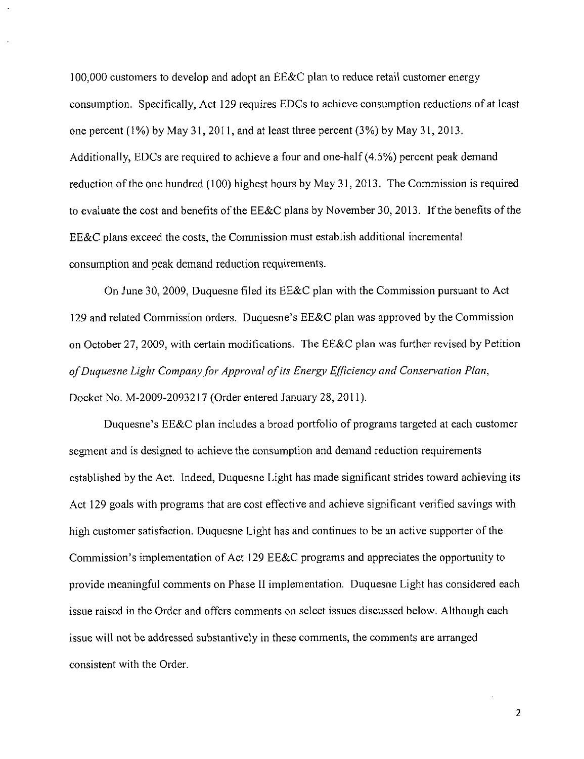100,000 customers to develop and adopt an EE&C plan to reduce retail customer energy consumption. Specifically, Act 129 requires EDCs to achieve consumption reductions of at least one percent (1%) by May 31, 2011, and at least three percent (3%) by May 31, 2013. Additionally, EDCs are required to achieve a four and one-half (4.5%) percent peak demand reduction of the one hundred (100) highest hours by May 31, 2013. The Commission is required to evaluate the cost and benefits of the EE&C plans by November 30, 2013. If the benefits of the EE&C plans exceed the costs, the Commission must establish additional incremental consumption and peak demand reduction requirements.

On June 30, 2009, Duquesne filed its EE&C plan with the Commission pursuant to Act 129 and related Commission orders. Duquesne's EE&C plan was approved by the Commission on October 27, 2009, with certain modifications. The EE&C plan was further revised by Petition of Duquesne Light Company for Approval of its Energy Efficiency and Conservation Plan, Docket No. M-2009-2093217 (Order entered January 28, 2011).

Duquesne's EE&C plan includes a broad portfolio of programs targeted at each customer segment and is designed to achieve the consumption and demand reduction requirements established by the Act. Indeed, Duquesne Light has made significant strides toward achieving its Act 129 goals with programs that are cost effective and achieve significant verified savings with high customer satisfaction. Duquesne Light has and continues to be an active supporter of the Commission's implementation of Act 129 EE&C programs and appreciates the opportunity to provide meaningful comments on Phase II implementation. Duquesne Light has considered each issue raised in the Order and offers comments on select issues discussed below. Although each issue will not be addressed substantively in these comments, the comments are arranged consistent with the Order.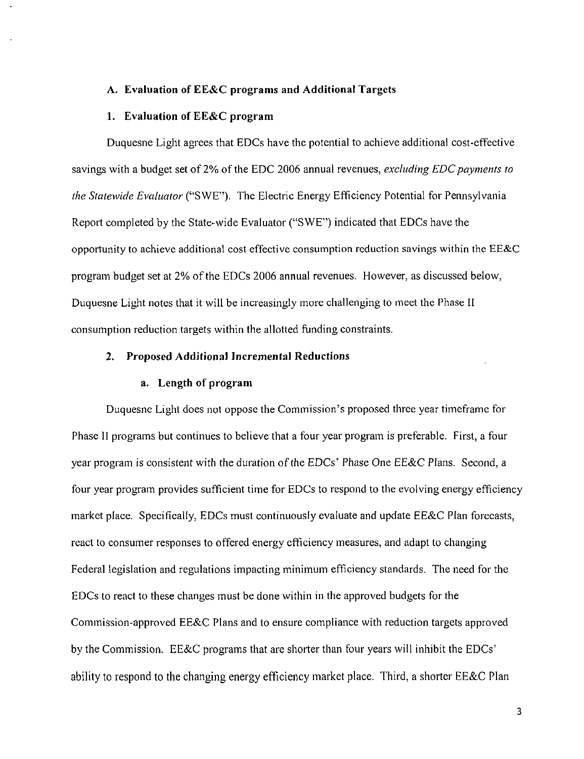# **A. Evaluation of EE&C programs and Additional Targets**

# **1. Evaluation of EE&C program**

Duquesne Light agrees that EDCs have the potential to achieve additional cost-effective savings with a budget set of 2% of the EDC 2006 annual revenues, excluding EDC payments to the Statewide Evaluator ("SWE"). The Electric Energy Efficiency Potential for Pennsylvania Report completed by the State-wide Evaluator ("SWE") indicated that EDCs have the opportunity to achieve additional cost effective consumption reduction savings within the EE&C program budget set at 2% of the EDCs 2006 annual revenues. However, as discussed below, Duquesne Light notes that it will be increasingly more challenging to meet the Phase II consumption reduction targets within the allotted funding constraints.

# **2. Proposed Additional Incremental Reductions**

## a. Length of program

Duquesne Light does not oppose the Commission's proposed three year timeframe for Phase II programs but continues to believe that a four year program is preferable. First, a four year program is consistent with the duration of the EDCs' Phase One EE&C Plans. Second, a four year program provides sufficient time for EDCs to respond to the evolving energy efficiency market place. Specifically, EDCs must continuously evaluate and update EE&C Plan forecasts, react to consumer responses to offered energy efficiency measures, and adapt to changing Federal legislation and regulations impacting minimum efficiency standards. The need for the EDCs to react to these changes must be done within in the approved budgets for the Commission-approved EE&C Plans and to ensure compliance with reduction targets approved by the Commission. EE&C programs that are shorter than four years will inhibit the EDCs' ability to respond to the changing energy efficiency market place. Third, a shorter EE&C Plan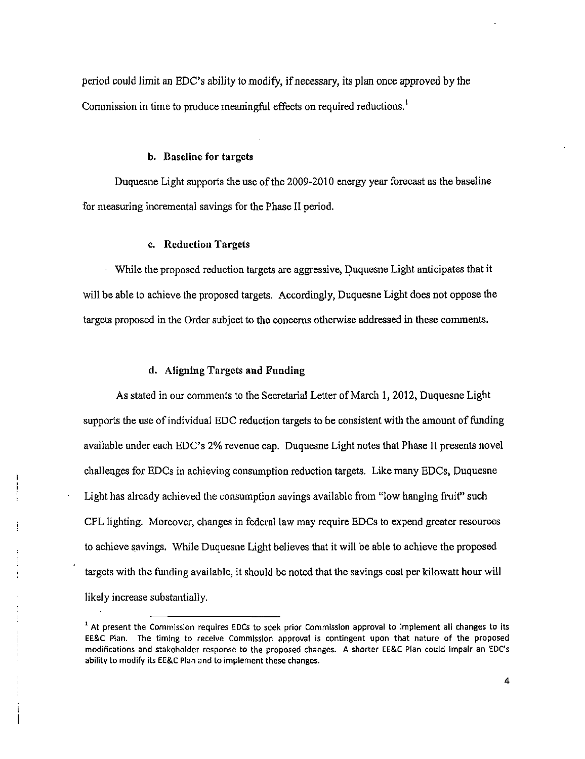period could limit an EDC's ability to modify, if necessary, its plan once approved by the Commission in time to produce meaningful effects on required reductions.<sup>1</sup>

#### b. Baseline for targets

Duquesne Light supports the use of the 2009-2010 energy year forecast as the baseline for measuring incremental savings for the Phase II period.

#### c. Reduction Targets

- While the proposed reduction targets are aggressive, Duquesne Light anticipates that it will be able to achieve the proposed targets. Accordingly, Duquesne Light does not oppose the targets proposed in the Order subject to the concerns otherwise addressed in these comments.

## d. Aligning Targets and Funding

As stated in our comments to the Secretarial Letter of March 1, 2012, Duquesne Light supports the use of individual EDC reduction targets to be consistent with the amount of funding available under each EDC's 2% revenue cap. Duquesne Light notes that Phase II presents novel challenges for EDCs in achieving consumption reduction targets. Like many EDCs, Duquesne Light has already achieved the consumption savings available from "low hanging fruit" such CFL lighting. Moreover, changes in federal law may require EDCs to expend greater resources to achieve savings. While Duquesne Light believes that it will be able to achieve the proposed targets with the funding available, it should be noted that the savings cost per kilowatt hour will likely increase substantially.

<sup>1</sup> At present the Commission requires EDCs to seek prior Commission approval to Implement all changes to its EE&C Plan. The timing to receive Commission approval is contingent upon that nature of the proposed modifications and stakeholder response to the proposed changes. A shorter EE&C Plan could impair an EDCs ability to modify its EE&c Plan and to implement these changes.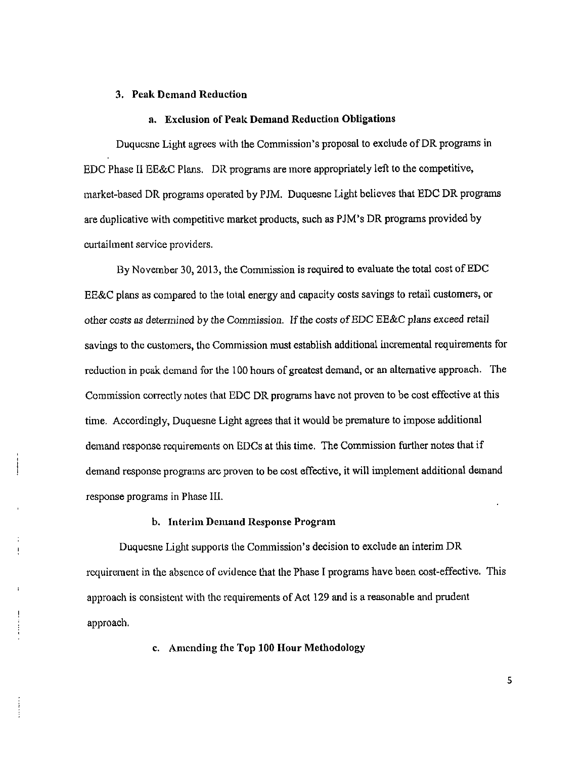#### **3. Peak Demand Reduction**

#### **a. Exclusion of Peak Demand Reduction Obligations**

Duquesne Light agrees with the Commission's proposal to exclude of DR programs in EDC Phase II EE&C Plans. DR programs are more appropriately left to the competitive, market-based DR programs operated by PJM. Duquesne Light believes that EDC DR programs are duplicative with competitive market products, such as PJM's DR programs provided by curtailment service providers.

By November 30,2013, the Commission is required to evaluate the total cost of EDC EE&C plans as compared to the total energy and capacity costs savings to retail customers, or other costs as determined by the Commission. If the costs of EDC EE&C plans exceed retail savings to the customers, the Commission must establish additional incremental requirements for reduction in peak demand for the 100 hours of greatest demand, or an alternative approach. The Commission correctly notes that EDC DR programs have not proven to be cost effective at this time. Accordingly, Duquesne Light agrees that it would be premature to impose additional demand response requirements on EDCs at this time. The Commission further notes that if demand response programs are proven to be cost effective, it will implement additional demand response programs in Phase III.

#### b. Interim Demand Response Program

Duquesne Light supports the Commission's decision to exclude an interim DR requirement in the absence of evidence that the Phase I programs have been cost-effective. This approach is consistent with the requirements of Act 129 and is a reasonable and prudent approach.

c. Amending the Top 100 Hour Methodology

 $\frac{1}{2}$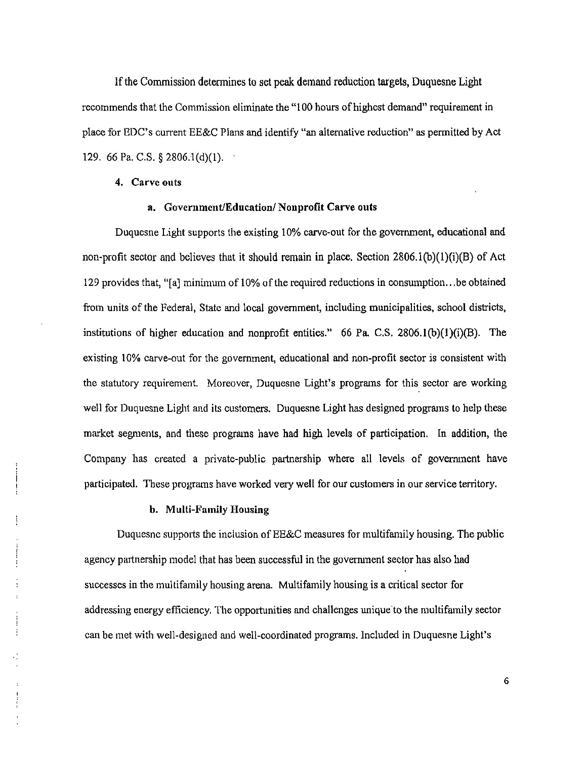if the Commission determines to set peak demand reduction targets, Duquesne Light recommends that the Commission eliminate the "100 hours of highest demand" requirement in place for EDC's current EE&C Plans and identify "an alternative reduction" as permitted by Act 129. 66 Pa. C.S. § 2806.1(d)(1).

#### 4. Carve outs

## a. Government/Education/ Nonprofit Carve outs

Duquesne Light supports the existing 10% carve-out for the government, educational and non-profit sector and believes that it should remain in place. Section  $2806.1(b)(1)(i)(B)$  of Act 129 provides that, "[a] minimum of 10% of the required reductions in consumption.. .be obtained from units of the Federal, State and local government, including municipalities, school districts, institutions of higher education and nonprofit entities." 66 Pa. C.S. 2806.1(b)(1)(i)(B). The existing 10% carve-out for the government, educational and non-profit sector is consistent with the statutory requirement. Moreover, Duquesne Light's programs for this sector are working well for Duquesne Light and its customers. Duquesne Light has designed programs to help these market segments, and these programs have had high levels of participation. In addition, the Company has created a private-public partnership where all levels of government have participated. These programs have worked very well for our customers in our service territory.

#### b. Multi-Family Housing

ŧ

Duquesne supports the inclusion of EE&C measures for multifamily housing. The public agency partnership model that has been successful in the government sector has also had successes in the multifamily housing arena. Multifamily housing is a critical sector for addressing energy efficiency. The opportunities and challenges unique'to the multifamily sector can be met with well-designed and well-coordinated programs. Included in Duquesne Light's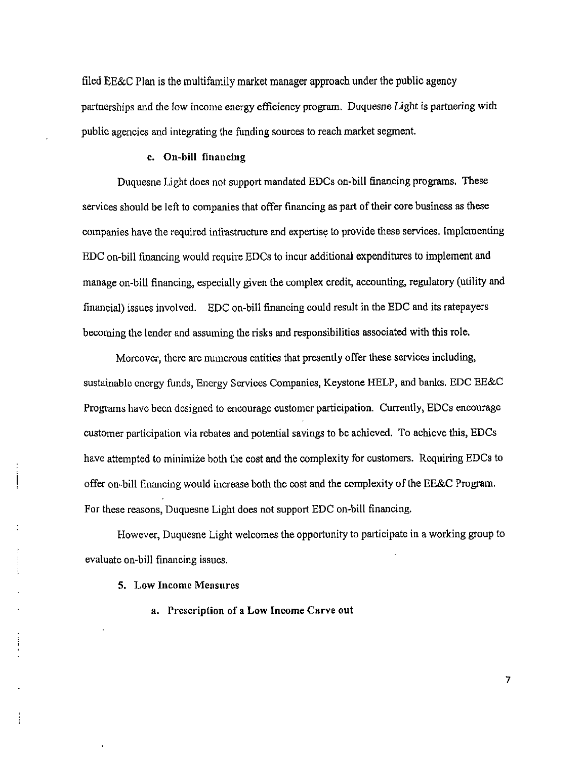filed EE&C Plan is the multifamily market manager approach under the public agency partnerships and the low income energy efficiency program. Duquesne Light is partnering with public agencies and integrating the funding sources to reach market segment,

## c. On-bill financing

Duquesne Light does not support mandated EDCs on-bill financing programs. These services should be left to companies that offer financing as part of their core business as these companies have the required infrastructure and expertise to provide these services. Implementing EDC on-bill financing would require EDCs to incur additional expenditures to implement and manage on-bill financing, especially given the complex credit, accounting, regulatory (utility and financial) issues involved. EDC on-bill financing could result in the EDC and its ratepayers becoming the lender and assuming the risks and responsibilities associated with this role.

Moreover, there are numerous entities that presently offer these services including, sustainable energy funds, Energy Services Companies, Keystone HELP, and banks. EDC EE&C Programs have been designed to encourage customer participation. Currently, EDCs encourage customer participation via rebates and potential savings to be achieved. To achieve this, EDCs have attempted to minimize both the cost and the complexity for customers. Requiring EDCs to offer on-bill financing would increase both the cost and the complexity of the EE&C Program. For these reasons, Duquesne Light does not support EDC on-bill financing.

However, Duquesne Light welcomes the opportunity to participate in a working group to evaluate on-bill financing issues.

5. Low Income Measures

ŧ

a. Prescription of a Low Income Carve out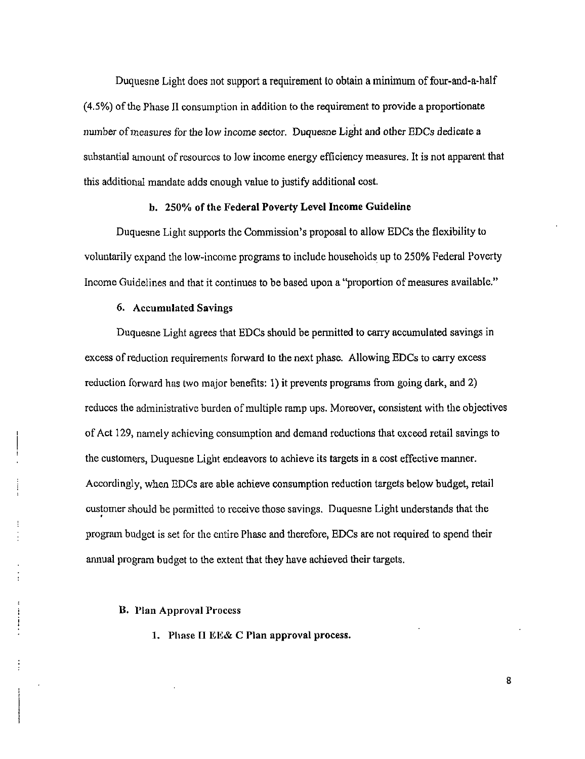Duquesne Light does not support a requirement to obtain a minimum of four-and-a-half  $(4.5%)$  of the Phase II consumption in addition to the requirement to provide a proportionate number of measures for the low income sector. Duquesne Light and other EDCs dedicate a substantial amount of resources to low income energy efficiency measures. It is not apparent that this additional mandate adds enough value to justify additional cost.

#### b. 250% of the Federal Poverty Level Income Guideline

Duquesne Light supports the Commission's proposal to allow EDCs the flexibility to voluntarily expand the low-income programs to include households up to 250% Federal Poverty Income Guidelines and that it continues to be based upon a "proportion of measures available."

#### 6. Accumulated Savings

Duquesne Light agrees that EDCs should be permitted to carry accumulated savings in excess of reduction requirements forward to the next phase. Allowing EDCs to carry excess reduction forward has two major benefits: 1) it prevents programs from going dark, and 2) reduces the administrative burden of multiple ramp ups. Moreover, consistent with the objectives of Act 129, namely achieving consumption and demand reductions that exceed retail savings to the customers, Duquesne Light endeavors to achieve its targets in a cost effective manner. Accordingly, when EDCs are able achieve consumption reduction targets below budget, retail customer should be permitted to receive those savings. Duquesne Light understands that the program budget is set for the entire Phase and therefore, EDCs are not required to spend their annual program budget to the extent that they have achieved their targets.

#### B. Plan Approval Process

1. Phase II EE& C Plan approval process.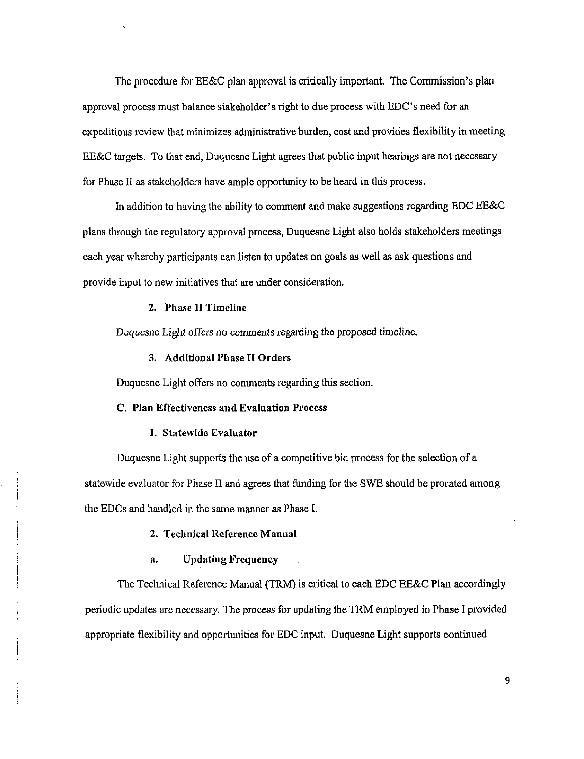The procedure for EE&C plan approval is critically important. The Commission's plan approval process must balance stakeholder's right to due process with EDC's need for an expeditious review that minimizes administrative burden, cost and provides flexibility in meeting EE&C targets. To that end, Duquesne Light agrees that public input hearings are not necessary for Phase II as stakeholders have ample opportunity to be heard in this process.

In addition to having the ability to comment and make suggestions regarding EDC EE&C plans through the regulatory approval process, Duquesne Light also holds stakeholders meetings each year whereby participants can listen to updates on goals as well as ask questions and provide input to new initiatives that are under consideration.

# 2. Phase II Timeline

Duquesne Light offers no comments regarding the proposed timeline.

#### 3. Additional Phase II Orders

**Duquesne Light offers no comments regarding this section.** 

#### **C. Plan Effectiveness and Evaluation Process**

#### 1. Statewide Evaluator

Duquesne Light supports the use of a competitive bid process for the selection of a statewide evaluator for Phase II and agrees that funding for the SWE should be prorated among the EDCs and handled in the same manner as Phase I.

# **2. Technical Reference Manual**

# **a. Updating Frequency**

The Technical Reference Manual (TRM) is critical to each EDC EE&C Plan accordingly periodic updates are necessary. The process for updating the TRM employed in Phase I provided appropriate flexibility and opportunities for EDC input. Duquesne Light supports continued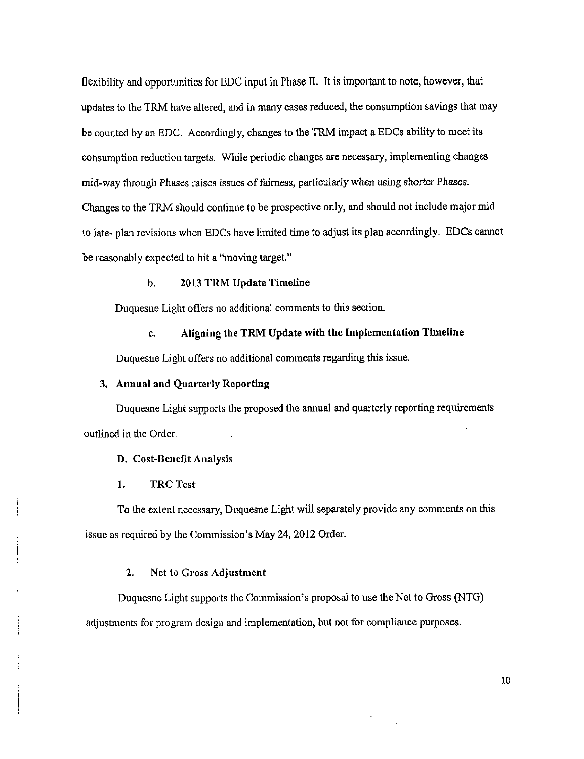flexibility and opportunities for EDC input in Phase II. It is important to note, however, that updates to the TRM have altered, and in many cases reduced, the consumption savings that may be counted by an EDC. Accordingly, changes to the TRM impact a EDCs ability to meet its consumption reduction targets. While periodic changes are necessary, implementing changes mid-way through Phases raises issues of fairness, particularly when using shorter Phases. Changes to the TRM should continue to be prospective only, and should not include major mid to late- plan revisions when EDCs have limited time to adjust its plan accordingly. EDCs cannot be reasonably expected to hit a "moving target."

b. 2013 TRM Update Timeline

Duquesne Light offers no additional comments to this section.

c. Aligning the TRM Update with the Implementation Timeline

Duquesne Light offers no additional comments regarding this issue.

# 3, Annual and Quarterly Reporting

Duquesne Light supports the proposed the annual and quarterly reporting requirements outlined in the Order.

D. Cost-Benefit Analysis

1. TRC Test

To the extent necessary, Duquesne Light will separately provide any comments on this issue as required by the Commission's May 24, 2012 Order.

## 2. Net to Gross Adjustment

Duquesne Light supports the Commission's proposal to use the Net to Gross (NTG) adjustments for program design and implementation, but not for compliance purposes.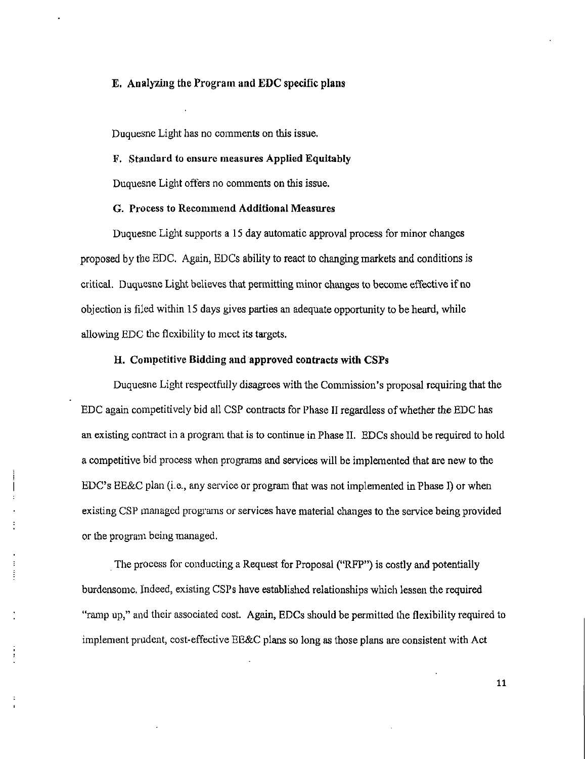# E. Analyzing the Program and EDC specific plans

Duquesne Light has no comments on this issue.

## F. Standard to ensure measures Applied Equitably

Duquesne Light offers no comments on this issue.

# G. Process to Recommend Additional Measures

Duquesne Light supports a 15 day automatic approval process for minor changes proposed by the EDC. Again, EDCs ability to react to changing markets and conditions is critical. Duquesne Light believes that permitting minor changes to become effective if no objection is filed within 15 days gives parties an adequate opportunity to be heard, while allowing EDC the flexibility to meet its targets.

## H. Competitive Bidding and approved contracts with CSPs

Duquesne Light respectfully disagrees with the Commission's proposal requiring that the EDC again competitively bid all CSP contracts for Phase II regardless of whether the EDC has an existing contract in a program that is to continue in Phase II. EDCs should be required to hold a competitive bid process when programs and services will be implemented that are new to the EDC's EE&C plan (i.e., any service or program that was not implemented in Phase I) or when existing CSP managed programs or services have material changes to the service being provided or the program being managed.

The process for conducting a Request for Proposal ("RFP") is costly and potentially burdensome. Indeed, existing CSPs have established relationships which lessen the required "ramp up," and their associated cost. Again, EDCs should be permitted the flexibility required to implement prudent, cost-effective EE&C plans so long as those plans are consistent with Act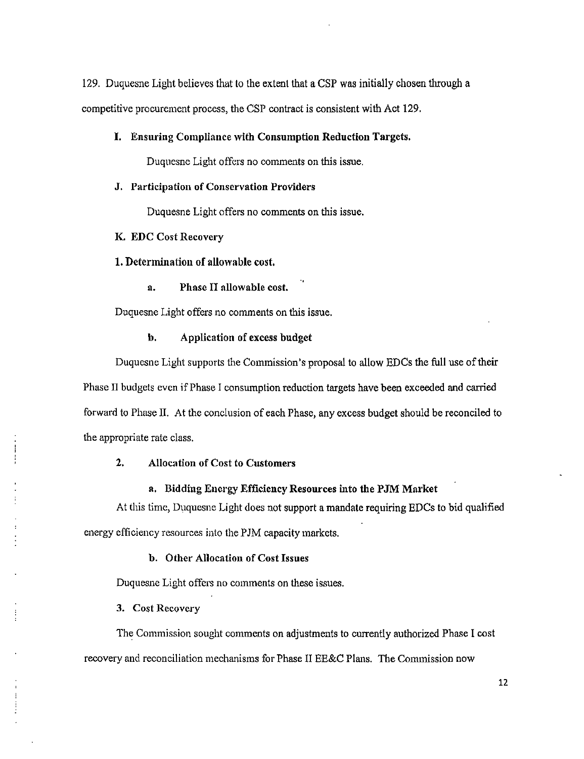129. Duquesne Light believes that to the extent that a CSP was initially chosen through a competitive procurement process, the CSP contract is consistent with Act 129,

#### I. Ensuring Compliance with Consumption Reduction Targets.

Duquesne Light offers no comments on this issue.

#### J. Participation of Conservation Providers

Duquesne Light offers no comments on this issue.

## K. EDC Cost Recovery

1. Determination of allowable cost.

a. Phase II allowable cost.

Duquesne Light offers no comments on this issue.

#### b. Application of excess budget

Duquesne Light supports the Commission's proposal to allow EDCs the full use of their Phase II budgets even if Phase I consumption reduction targets have been exceeded and carried forward to Phase H. At the conclusion of each Phase, any excess budget should be reconciled to the appropriate rate class.

# 2. Allocation of Cost to Customers

## a. Bidding Energy Efficiency Resources into the PJM Market

At this time, Duquesne Light does not support a mandate requiring EDCs to bid qualified energy efficiency resources into the PJM capacity markets.

### b. Other Allocation of Cost Issues

Duquesne Light offers no comments on these issues.

## 3. Cost Recovery

The Commission sought comments on adjustments to currently authorized Phase I cost recovery and reconciliation mechanisms for Phase II EE&C Plans. The Commission now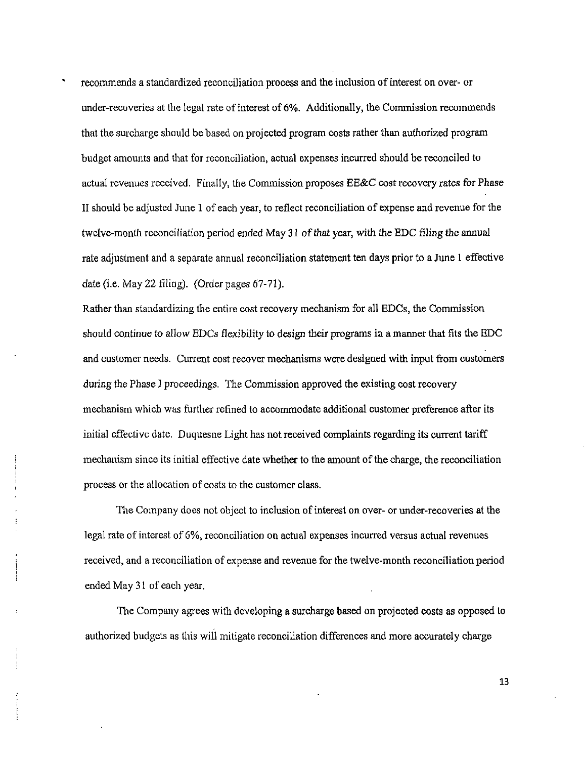\* recommends a standardized reconciliation process and the inclusion of interest on over- or under-recoveries at the legal rate of interest of 6%. Additionally, the Commission recommends that the surcharge should be based on projected program costs rather than authorized program budget amounts and that for reconciliation, actual expenses incurred should be reconciled to actual revenues received. Finally, the Commission proposes EE&C cost recovery rates for Phase II should be adjusted June 1 of each year, to reflect reconciliation of expense and revenue for the twelve-month reconciliation period ended May 31 of that year, with the EDC filing the annual rate adjustment and a separate annual reconciliation statement ten days prior to a June 1 effective date (i.e. May 22 filing). (Order pages 67-71).

Rather than standardizing the entire cost recovery mechanism for all EDCs, the Commission should continue to allow EDCs flexibility to design their programs in a manner that fits the EDC and customer needs. Current cost recover mechanisms were designed with input from customers during the Phase 1 proceedings. The Commission approved the existing cost recovery mechanism which was further refined to accommodate additional customer preference after its initial effective date. Duquesne Light has not received complaints regarding its current tariff mechanism since its initial effective date whether to the amount of the charge, the reconciliation process or the allocation of costs to the customer class.

The Company does not object to inclusion of interest on over- or under-recoveries at the legal rate of interest of 6%, reconciliation on actual expenses incurred versus actual revenues received, and a reconciliation of expense and revenue for the twelve-month reconciliation period ended May 31 of each year.

The Company agrees with developing a surcharge based on projected costs as opposed to authorized budgets as this will mitigate reconcihation differences and more accurately charge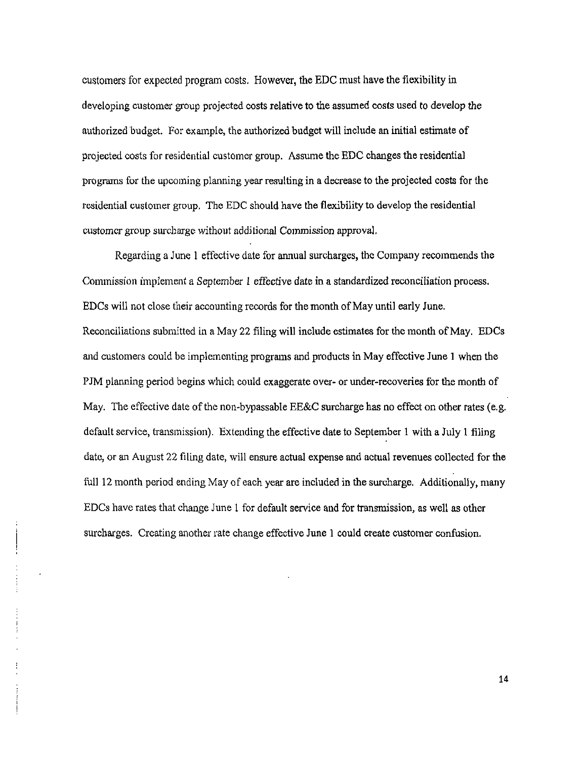customers for expected program costs. However, the EDC must have the flexibility in developing customer group projected costs relative to the assumed costs used to develop the authorized budget. For example, the authorized budget will include an initial estimate of projected costs for residential customer group. Assume the EDC changes the residential programs for the upcoming planning year resulting in a decrease to the projected costs for the residential customer group. The EDC should have the flexibility to develop the residential customer group surcharge without additional Commission approval,

Regarding a June 1 effective date for annual surcharges, the Company recommends the Commission implement a September I effective date in a standardized reconciliation process. EDCs will not close their accounting records for the month of May until early June. Reconciliations submitted in a May 22 filing will include estimates for the month of May. EDCs and customers could be implementing programs and products in May effective June 1 when the PJM planning period begins which could exaggerate over- or under-recoveries for the month of May. The effective date of the non-bypassable EE&C surcharge has no effect on other rates (e.g. default service, transmission). Extending the effective date to September 1 with a July 1 filing date, or an August 22 filing date, will ensure actual expense and actual revenues collected for the full 12 month period ending May of each year are included in the surcharge. Additionally, many EDCs have rates that change June 1 for default service and for transmission, as well as other surcharges. Creating another rate change effective June 1 could create customer confusion.